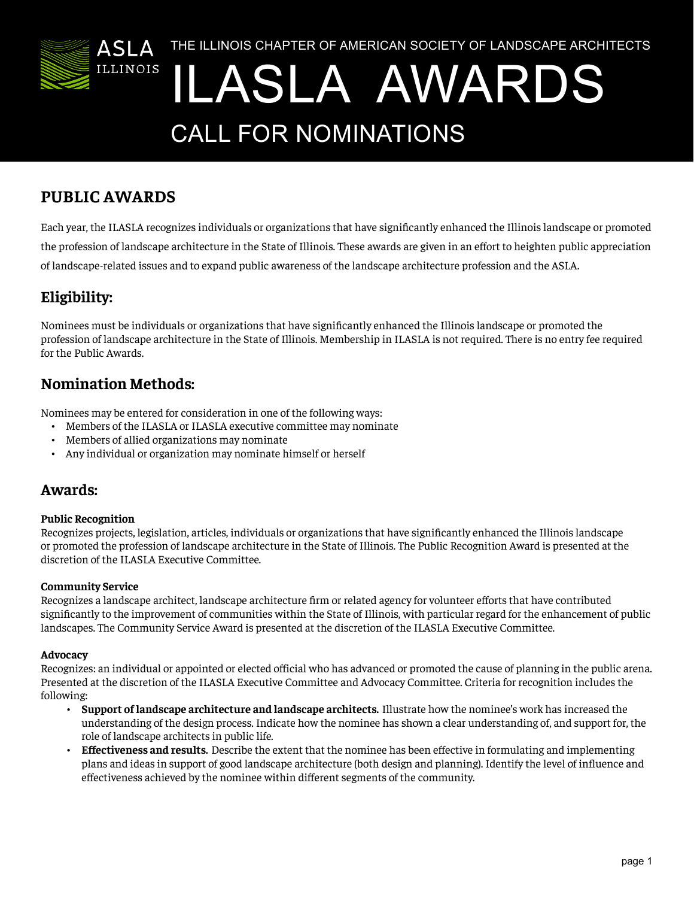

# **PUBLIC AWARDS**

Each year, the ILASLA recognizes individuals or organizations that have significantly enhanced the Illinois landscape or promoted the profession of landscape architecture in the State of Illinois. These awards are given in an effort to heighten public appreciation of landscape-related issues and to expand public awareness of the landscape architecture profession and the ASLA.

# **Eligibility:**

Nominees must be individuals or organizations that have significantly enhanced the Illinois landscape or promoted the profession of landscape architecture in the State of Illinois. Membership in ILASLA is not required. There is no entry fee required for the Public Awards.

## **Nomination Methods:**

Nominees may be entered for consideration in one of the following ways:

- Members of the ILASLA or ILASLA executive committee may nominate
- Members of allied organizations may nominate
- Any individual or organization may nominate himself or herself

### **Awards:**

#### **Public Recognition**

Recognizes projects, legislation, articles, individuals or organizations that have significantly enhanced the Illinois landscape or promoted the profession of landscape architecture in the State of Illinois. The Public Recognition Award is presented at the discretion of the ILASLA Executive Committee.

#### **Community Service**

Recognizes a landscape architect, landscape architecture firm or related agency for volunteer efforts that have contributed significantly to the improvement of communities within the State of Illinois, with particular regard for the enhancement of public landscapes. The Community Service Award is presented at the discretion of the ILASLA Executive Committee.

#### **Advocacy**

Recognizes: an individual or appointed or elected official who has advanced or promoted the cause of planning in the public arena. Presented at the discretion of the ILASLA Executive Committee and Advocacy Committee. Criteria for recognition includes the following:

- **• Support of landscape architecture and landscape architects.** Illustrate how the nominee's work has increased the understanding of the design process. Indicate how the nominee has shown a clear understanding of, and support for, the role of landscape architects in public life.
- **• Effectiveness and results.** Describe the extent that the nominee has been effective in formulating and implementing plans and ideas in support of good landscape architecture (both design and planning). Identify the level of influence and effectiveness achieved by the nominee within different segments of the community.